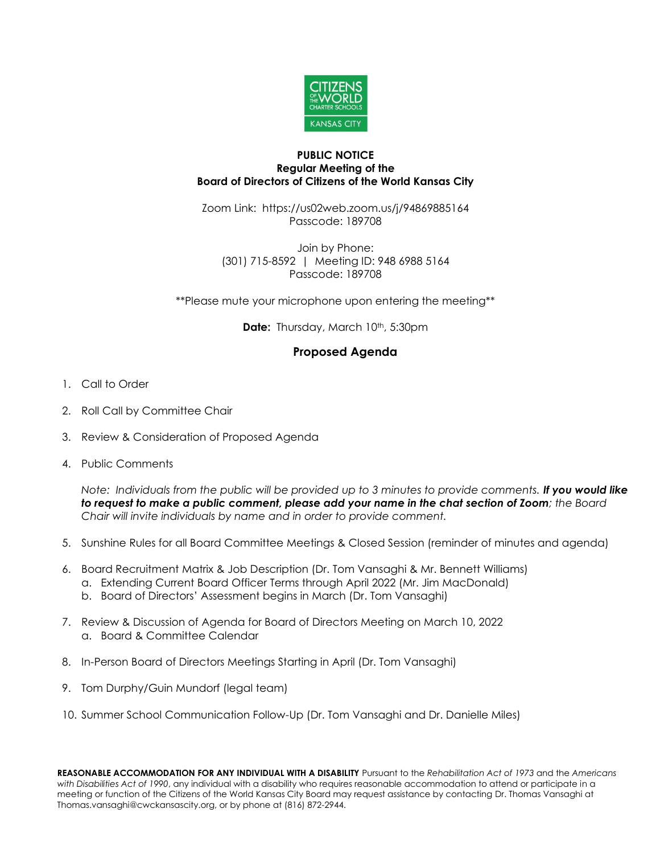

## **PUBLIC NOTICE Regular Meeting of the Board of Directors of Citizens of the World Kansas City**

Zoom Link: https://us02web.zoom.us/j/94869885164 Passcode: 189708

Join by Phone: (301) 715-8592 | Meeting ID: 948 6988 5164 Passcode: 189708

\*\*Please mute your microphone upon entering the meeting\*\*

**Date:** Thursday, March 10<sup>th</sup>, 5:30pm

## **Proposed Agenda**

- 1. Call to Order
- 2. Roll Call by Committee Chair
- 3. Review & Consideration of Proposed Agenda
- 4. Public Comments

*Note: Individuals from the public will be provided up to 3 minutes to provide comments. If you would like to request to make a public comment, please add your name in the chat section of Zoom; the Board Chair will invite individuals by name and in order to provide comment.*

- 5. Sunshine Rules for all Board Committee Meetings & Closed Session (reminder of minutes and agenda)
- 6. Board Recruitment Matrix & Job Description (Dr. Tom Vansaghi & Mr. Bennett Williams)
	- a. Extending Current Board Officer Terms through April 2022 (Mr. Jim MacDonald)
	- b. Board of Directors' Assessment begins in March (Dr. Tom Vansaghi)
- 7. Review & Discussion of Agenda for Board of Directors Meeting on March 10, 2022 a. Board & Committee Calendar
- 8. In-Person Board of Directors Meetings Starting in April (Dr. Tom Vansaghi)
- 9. Tom Durphy/Guin Mundorf (legal team)
- 10. Summer School Communication Follow-Up (Dr. Tom Vansaghi and Dr. Danielle Miles)

**REASONABLE ACCOMMODATION FOR ANY INDIVIDUAL WITH A DISABILITY** Pursuant to the *Rehabilitation Act of 1973* and the *Americans with Disabilities Act of 1990*, any individual with a disability who requires reasonable accommodation to attend or participate in a meeting or function of the Citizens of the World Kansas City Board may request assistance by contacting Dr. Thomas Vansaghi at Thomas.vansaghi@cwckansascity.org, or by phone at (816) 872-2944.